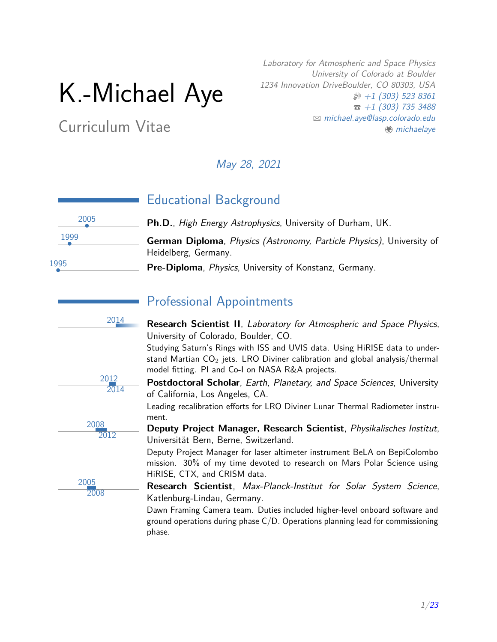# K.-Michael Aye

Curriculum Vitae

Laboratory for Atmospheric and Space Physics University of Colorado at Boulder 1234 Innovation DriveBoulder, CO 80303, USA  $\wp$  [+1 \(303\) 523 8361](tel:+13035238361)  $\hat{z}$  [+1 \(303\) 735 3488](tel:+13037353488) B [michael.aye@lasp.colorado.edu](mailto:michael.aye@lasp.colorado.edu)  $m$ ichaelaye

May 28, 2021



# Educational Background

• **Ph.D.**, High Energy Astrophysics, University of Durham, UK.

• **German Diploma**, Physics (Astronomy, Particle Physics), University of Heidelberg, Germany.

• **Pre-Diploma**, Physics, University of Konstanz, Germany.



# Professional Appointments

<sup>2014</sup> **Research Scientist II**, Laboratory for Atmospheric and Space Physics, University of Colorado, Boulder, CO.

> Studying Saturn's Rings with ISS and UVIS data. Using HiRISE data to understand Martian  $CO<sub>2</sub>$  jets. LRO Diviner calibration and global analysis/thermal model fitting. PI and Co-I on NASA R&A projects.



2008 2012

2005 2008 **Postdoctoral Scholar**, Earth, Planetary, and Space Sciences, University of California, Los Angeles, CA.

Leading recalibration efforts for LRO Diviner Lunar Thermal Radiometer instrument.

**Deputy Project Manager, Research Scientist**, Physikalisches Institut, Universität Bern, Berne, Switzerland.

Deputy Project Manager for laser altimeter instrument BeLA on BepiColombo mission. 30% of my time devoted to research on Mars Polar Science using HiRISE, CTX, and CRISM data.

**Research Scientist**, Max-Planck-Institut for Solar System Science, Katlenburg-Lindau, Germany.

Dawn Framing Camera team. Duties included higher-level onboard software and ground operations during phase  $C/D$ . Operations planning lead for commissioning phase.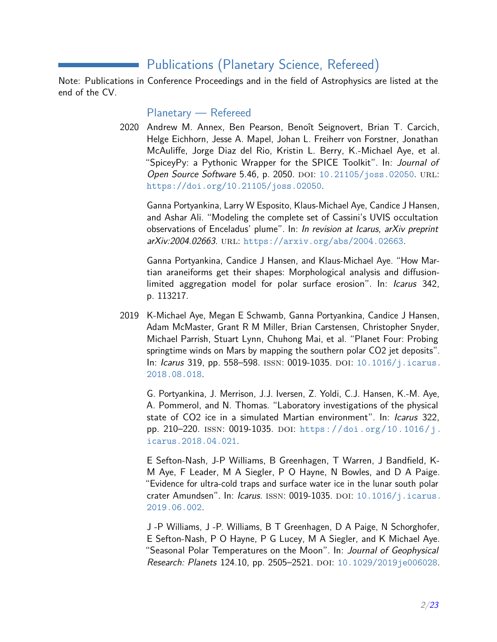# Publications (Planetary Science, Refereed)

Note: Publications in Conference Proceedings and in the field of Astrophysics are listed at the end of the CV.

Planetary — Refereed

2020 Andrew M. Annex, Ben Pearson, Benoît Seignovert, Brian T. Carcich, Helge Eichhorn, Jesse A. Mapel, Johan L. Freiherr von Forstner, Jonathan McAuliffe, Jorge Diaz del Rio, Kristin L. Berry, K.-Michael Aye, et al. "SpiceyPy: a Pythonic Wrapper for the SPICE Toolkit". In: Journal of Open Source Software 5.46, p. 2050. DOI: [10.21105/joss.02050](https://doi.org/10.21105/joss.02050). URL: <https://doi.org/10.21105/joss.02050>.

Ganna Portyankina, Larry W Esposito, Klaus-Michael Aye, Candice J Hansen, and Ashar Ali. "Modeling the complete set of Cassini's UVIS occultation observations of Enceladus' plume". In: In revision at Icarus, arXiv preprint arXiv:2004.02663. url: <https://arxiv.org/abs/2004.02663>.

Ganna Portyankina, Candice J Hansen, and Klaus-Michael Aye. "How Martian araneiforms get their shapes: Morphological analysis and diffusionlimited aggregation model for polar surface erosion". In: Icarus 342, p. 113217.

2019 K-Michael Aye, Megan E Schwamb, Ganna Portyankina, Candice J Hansen, Adam McMaster, Grant R M Miller, Brian Carstensen, Christopher Snyder, Michael Parrish, Stuart Lynn, Chuhong Mai, et al. "Planet Four: Probing springtime winds on Mars by mapping the southern polar CO2 jet deposits". In: Icarus 319, pp. 558–598. ISSN: 0019-1035. DOI: [10.1016/j.icarus.](https://doi.org/10.1016/j.icarus.2018.08.018) [2018.08.018](https://doi.org/10.1016/j.icarus.2018.08.018).

G. Portyankina, J. Merrison, J.J. Iversen, Z. Yoldi, C.J. Hansen, K.-M. Aye, A. Pommerol, and N. Thomas. "Laboratory investigations of the physical state of CO2 ice in a simulated Martian environment". In: *Icarus* 322, pp. 210–220. ISSN: 0019-1035. DOI: [https://doi.org/10.1016/j.](https://doi.org/https://doi.org/10.1016/j.icarus.2018.04.021) [icarus.2018.04.021](https://doi.org/https://doi.org/10.1016/j.icarus.2018.04.021).

E Sefton-Nash, J-P Williams, B Greenhagen, T Warren, J Bandfield, K-M Aye, F Leader, M A Siegler, P O Hayne, N Bowles, and D A Paige. "Evidence for ultra-cold traps and surface water ice in the lunar south polar crater Amundsen". In: Icarus. ISSN: 0019-1035. DOI: [10.1016/j.icarus.](https://doi.org/10.1016/j.icarus.2019.06.002) [2019.06.002](https://doi.org/10.1016/j.icarus.2019.06.002).

J -P Williams, J -P. Williams, B T Greenhagen, D A Paige, N Schorghofer, E Sefton-Nash, P O Hayne, P G Lucey, M A Siegler, and K Michael Aye. "Seasonal Polar Temperatures on the Moon". In: Journal of Geophysical Research: Planets 124.10, pp. 2505-2521. DOI: [10.1029/2019je006028](https://doi.org/10.1029/2019je006028).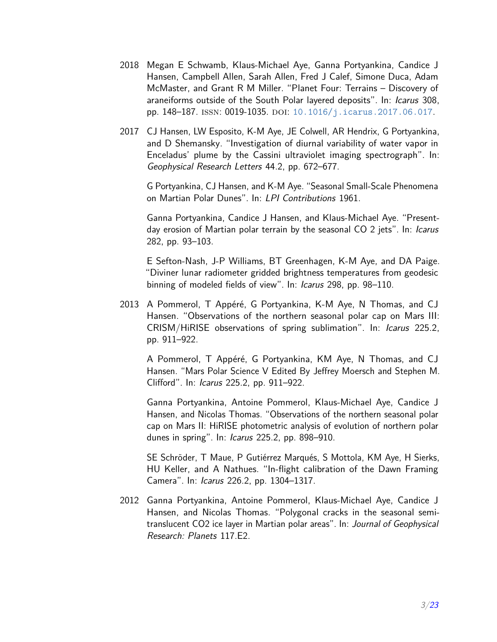- 2018 Megan E Schwamb, Klaus-Michael Aye, Ganna Portyankina, Candice J Hansen, Campbell Allen, Sarah Allen, Fred J Calef, Simone Duca, Adam McMaster, and Grant R M Miller. "Planet Four: Terrains – Discovery of araneiforms outside of the South Polar layered deposits". In: Icarus 308, pp. 148-187. ISSN: 0019-1035. DOI: [10.1016/j.icarus.2017.06.017](https://doi.org/10.1016/j.icarus.2017.06.017).
- 2017 CJ Hansen, LW Esposito, K-M Aye, JE Colwell, AR Hendrix, G Portyankina, and D Shemansky. "Investigation of diurnal variability of water vapor in Enceladus' plume by the Cassini ultraviolet imaging spectrograph". In: Geophysical Research Letters 44.2, pp. 672–677.

G Portyankina, CJ Hansen, and K-M Aye. "Seasonal Small-Scale Phenomena on Martian Polar Dunes". In: LPI Contributions 1961.

Ganna Portyankina, Candice J Hansen, and Klaus-Michael Aye. "Presentday erosion of Martian polar terrain by the seasonal CO 2 jets". In: Icarus 282, pp. 93–103.

E Sefton-Nash, J-P Williams, BT Greenhagen, K-M Aye, and DA Paige. "Diviner lunar radiometer gridded brightness temperatures from geodesic binning of modeled fields of view". In: Icarus 298, pp. 98–110.

2013 A Pommerol, T Appéré, G Portyankina, K-M Aye, N Thomas, and CJ Hansen. "Observations of the northern seasonal polar cap on Mars III: CRISM/HiRISE observations of spring sublimation". In: Icarus 225.2, pp. 911–922.

A Pommerol, T Appéré, G Portyankina, KM Aye, N Thomas, and CJ Hansen. "Mars Polar Science V Edited By Jeffrey Moersch and Stephen M. Clifford". In: Icarus 225.2, pp. 911–922.

Ganna Portyankina, Antoine Pommerol, Klaus-Michael Aye, Candice J Hansen, and Nicolas Thomas. "Observations of the northern seasonal polar cap on Mars II: HiRISE photometric analysis of evolution of northern polar dunes in spring". In: Icarus 225.2, pp. 898–910.

SE Schröder, T Maue, P Gutiérrez Marqués, S Mottola, KM Aye, H Sierks, HU Keller, and A Nathues. "In-flight calibration of the Dawn Framing Camera". In: Icarus 226.2, pp. 1304–1317.

2012 Ganna Portyankina, Antoine Pommerol, Klaus-Michael Aye, Candice J Hansen, and Nicolas Thomas. "Polygonal cracks in the seasonal semitranslucent CO2 ice layer in Martian polar areas". In: Journal of Geophysical Research: Planets 117.E2.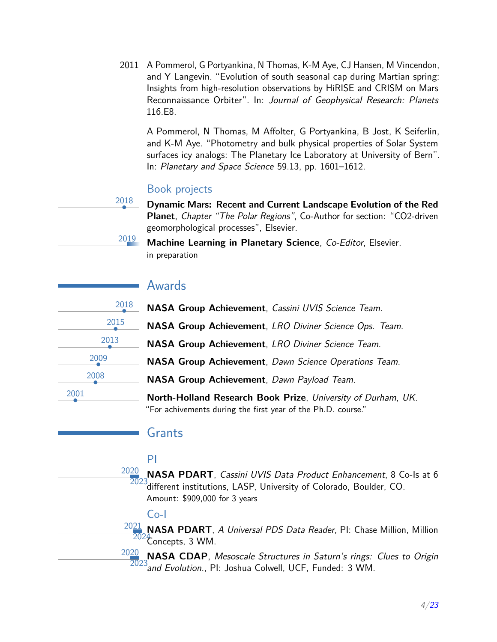2011 A Pommerol, G Portyankina, N Thomas, K-M Aye, CJ Hansen, M Vincendon, and Y Langevin. "Evolution of south seasonal cap during Martian spring: Insights from high-resolution observations by HiRISE and CRISM on Mars Reconnaissance Orbiter". In: Journal of Geophysical Research: Planets 116.E8.

A Pommerol, N Thomas, M Affolter, G Portyankina, B Jost, K Seiferlin, and K-M Aye. "Photometry and bulk physical properties of Solar System surfaces icy analogs: The Planetary Ice Laboratory at University of Bern". In: Planetary and Space Science 59.13, pp. 1601–1612.

#### Book projects

• **Dynamic Mars: Recent and Current Landscape Evolution of the Red Planet**, Chapter "The Polar Regions", Co-Author for section: "CO2-driven geomorphological processes", Elsevier.

<sup>2019</sup> **Machine Learning in Planetary Science**, Co-Editor, Elsevier. in preparation

### Awards

| 2018 | <b>NASA Group Achievement, Cassini UVIS Science Team.</b>  |
|------|------------------------------------------------------------|
| 2015 | <b>NASA Group Achievement, LRO Diviner Science Ops. 7</b>  |
| 2013 | <b>NASA Group Achievement, LRO Diviner Science Team.</b>   |
| 2009 | <b>NASA Group Achievement</b> , Dawn Science Operations Te |
| 2008 | NASA Group Achievement, Dawn Payload Team.                 |
| 2001 | North-Holland Research Book Prize, University of Durh      |

2018

• **NASA Group Achievement**, LRO Diviner Science Ops. Team.

• **NASA Group Achievement**, Dawn Science Operations Team.

• **North-Holland Research Book Prize**, University of Durham, UK. "For achivements during the first year of the Ph.D. course."

#### Grants

### PI

2020 2023 different institutions, LASP, University of Colorado, Boulder, CO. **NASA PDART**, Cassini UVIS Data Product Enhancement, 8 Co-Is at 6 Amount: \$909,000 for 3 years

### Co-I

2021 <sup>21</sup> NASA PDART, *A Universal PDS Data Reader*, PI: Chase Million, Million<br><sup>2024</sup> encents - 2 MM Concepts, 3 WM.

2020 <sup>20</sup> NASA CDAP, Mesoscale Structures in Saturn's rings: Clues to Origin<br>2023 and Evolution, Pl. Joshua Columb LICE, Eundod: 2 WM  $\beta$ and Evolution., PI: Joshua Colwell, UCF, Funded: 3 WM.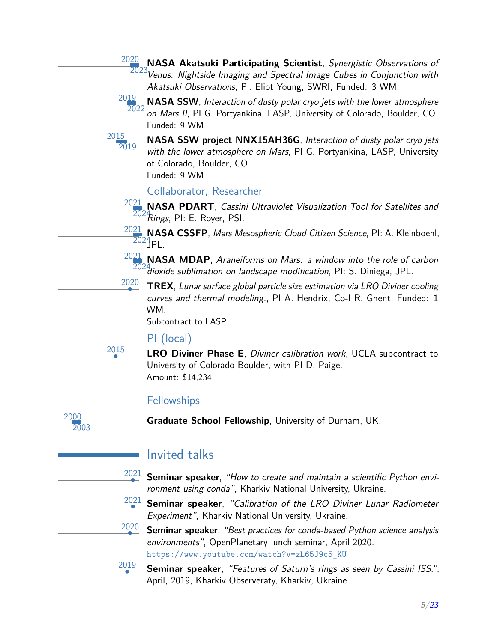|              | 2020                 | NASA Akatsuki Participating Scientist, Synergistic Observations of<br>2023 Venus: Nightside Imaging and Spectral Image Cubes in Conjunction with                                         |
|--------------|----------------------|------------------------------------------------------------------------------------------------------------------------------------------------------------------------------------------|
|              |                      | Akatsuki Observations, PI: Eliot Young, SWRI, Funded: 3 WM.                                                                                                                              |
|              | 20 <u>19</u><br>2022 | NASA SSW, Interaction of dusty polar cryo jets with the lower atmosphere<br>on Mars II, PI G. Portyankina, LASP, University of Colorado, Boulder, CO.                                    |
|              |                      | Funded: 9 WM                                                                                                                                                                             |
|              | 2015<br>2019         | NASA SSW project NNX15AH36G, Interaction of dusty polar cryo jets<br>with the lower atmosphere on Mars, PI G. Portyankina, LASP, University<br>of Colorado, Boulder, CO.<br>Funded: 9 WM |
|              |                      | Collaborator, Researcher                                                                                                                                                                 |
|              |                      | $\frac{2021}{4}$ NASA PDART, Cassini Ultraviolet Visualization Tool for Satellites and<br>2024 Rings, PI: E. Royer, PSI.                                                                 |
|              |                      | $\frac{2021}{20}$ , NASA CSSFP, <i>Mars Mesospheric Cloud Citizen Science</i> , PI: A. Kleinboehl,<br>$2024$ PL.                                                                         |
|              |                      | $\frac{2021}{4}$ NASA MDAP, Araneiforms on Mars: a window into the role of carbon<br>2024. 2024. <i>dioxide sublimation on landscape modification</i> , PI: S. Diniega, JPL.             |
|              | 2020                 | <b>TREX</b> , Lunar surface global particle size estimation via LRO Diviner cooling<br>curves and thermal modeling., PI A. Hendrix, Co-I R. Ghent, Funded: 1<br>WM.                      |
|              |                      | Subcontract to LASP                                                                                                                                                                      |
|              |                      | PI (local)                                                                                                                                                                               |
|              | 2015                 | <b>LRO Diviner Phase E</b> , Diviner calibration work, UCLA subcontract to<br>University of Colorado Boulder, with PI D. Paige.<br>Amount: \$14,234                                      |
|              |                      | Fellowships                                                                                                                                                                              |
| 2000<br>2003 |                      | <b>Graduate School Fellowship, University of Durham, UK.</b>                                                                                                                             |
|              |                      | <b>Invited talks</b>                                                                                                                                                                     |
|              | 2021                 | Seminar speaker, "How to create and maintain a scientific Python envi-<br>ronment using conda", Kharkiv National University, Ukraine.                                                    |
|              | 2021                 | Seminar speaker, "Calibration of the LRO Diviner Lunar Radiometer<br>Experiment", Kharkiv National University, Ukraine.                                                                  |
|              | 2020                 | Seminar speaker, "Best practices for conda-based Python science analysis<br>environments", OpenPlanetary lunch seminar, April 2020.<br>https://www.youtube.com/watch?v=zL65J9c5_KU       |
|              | 2019                 | Seminar speaker, "Features of Saturn's rings as seen by Cassini ISS.",<br>April, 2019, Kharkiv Observeraty, Kharkiv, Ukraine.                                                            |

2020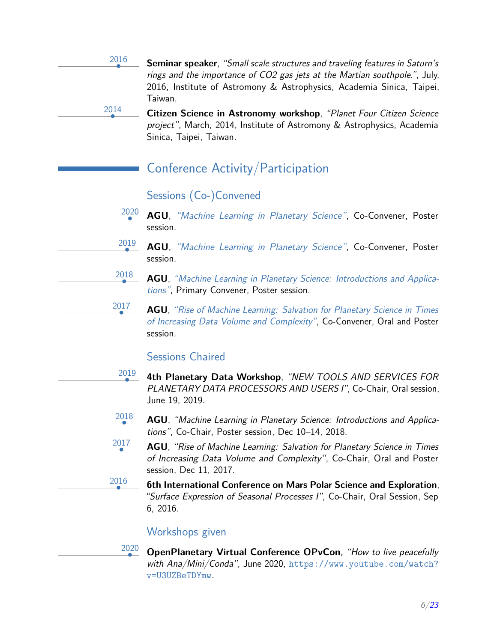2016 • **Seminar speaker**, "Small scale structures and traveling features in Saturn's rings and the importance of CO2 gas jets at the Martian southpole.", July, 2016, Institute of Astromony & Astrophysics, Academia Sinica, Taipei, Taiwan.

> • **Citizen Science in Astronomy workshop**, "Planet Four Citizen Science project", March, 2014, Institute of Astromony & Astrophysics, Academia Sinica, Taipei, Taiwan.

# Conference Activity/Participation

### Sessions (Co-)Convened

2014

2019

2017

2017

2016

- 2020 • **AGU**, ["Machine Learning in Planetary Science"](https://agu.confex.com/agu/fm20/webprogram/Session109391.html), Co-Convener, Poster session.
	- **AGU**, ["Machine Learning in Planetary Science"](https://agu.confex.com/agu/fm19/meetingapp.cgi/Session/78481), Co-Convener, Poster session.
- 2018 • **AGU**, ["Machine Learning in Planetary Science: Introductions and Applica](https://agu.confex.com/agu/fm18/meetingapp.cgi/Session/50013)[tions"](https://agu.confex.com/agu/fm18/meetingapp.cgi/Session/50013), Primary Convener, Poster session.
	- **AGU**, ["Rise of Machine Learning: Salvation for Planetary Science in Times](https://agu.confex.com/agu/fm17/preliminaryview.cgi/Session23942) [of Increasing Data Volume and Complexity"](https://agu.confex.com/agu/fm17/preliminaryview.cgi/Session23942), Co-Convener, Oral and Poster session.

### Sessions Chaired

- 2019 • **4th Planetary Data Workshop**, "NEW TOOLS AND SERVICES FOR PLANETARY DATA PROCESSORS AND USERS I", Co-Chair, Oral session, June 19, 2019.
- 2018 • **AGU**, "Machine Learning in Planetary Science: Introductions and Applications", Co-Chair, Poster session, Dec 10–14, 2018.
	- **AGU**, "Rise of Machine Learning: Salvation for Planetary Science in Times of Increasing Data Volume and Complexity", Co-Chair, Oral and Poster session, Dec 11, 2017.
	- **6th International Conference on Mars Polar Science and Exploration**, "Surface Expression of Seasonal Processes I", Co-Chair, Oral Session, Sep 6, 2016.

### Workshops given

2020 • **OpenPlanetary Virtual Conference OPvCon**, "How to live peacefully with Ana/Mini/Conda", June 2020, [https://www.youtube.com/watch?](https://www.youtube.com/watch?v=U3UZBeTDYmw) [v=U3UZBeTDYmw](https://www.youtube.com/watch?v=U3UZBeTDYmw).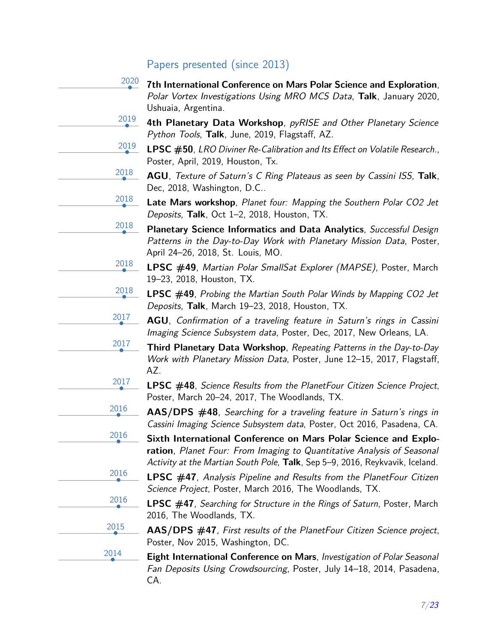# Papers presented (since 2013)

| 2020 | 7th International Conference on Mars Polar Science and Exploration,<br>Polar Vortex Investigations Using MRO MCS Data, Talk, January 2020,<br>Ushuaia, Argentina.                                                         |
|------|---------------------------------------------------------------------------------------------------------------------------------------------------------------------------------------------------------------------------|
| 2019 | 4th Planetary Data Workshop, pyRISE and Other Planetary Science<br>Python Tools, Talk, June, 2019, Flagstaff, AZ.                                                                                                         |
| 2019 | LPSC #50, LRO Diviner Re-Calibration and Its Effect on Volatile Research.,<br>Poster, April, 2019, Houston, Tx.                                                                                                           |
| 2018 | AGU, Texture of Saturn's C Ring Plateaus as seen by Cassini ISS, Talk,<br>Dec, 2018, Washington, D.C                                                                                                                      |
| 2018 | Late Mars workshop, Planet four: Mapping the Southern Polar CO2 Jet<br>Deposits, Talk, Oct 1-2, 2018, Houston, TX.                                                                                                        |
| 2018 | Planetary Science Informatics and Data Analytics, Successful Design<br>Patterns in the Day-to-Day Work with Planetary Mission Data, Poster,<br>April 24-26, 2018, St. Louis, MO.                                          |
| 2018 | <b>LPSC</b> #49, Martian Polar SmallSat Explorer (MAPSE), Poster, March<br>19-23, 2018, Houston, TX.                                                                                                                      |
| 2018 | <b>LPSC #49</b> , Probing the Martian South Polar Winds by Mapping CO2 Jet<br>Deposits, Talk, March 19-23, 2018, Houston, TX.                                                                                             |
| 2017 | AGU, Confirmation of a traveling feature in Saturn's rings in Cassini<br>Imaging Science Subsystem data, Poster, Dec, 2017, New Orleans, LA.                                                                              |
| 2017 | <b>Third Planetary Data Workshop, Repeating Patterns in the Day-to-Day</b><br>Work with Planetary Mission Data, Poster, June 12-15, 2017, Flagstaff,<br>AZ.                                                               |
| 2017 | <b>LPSC</b> #48, Science Results from the PlanetFour Citizen Science Project,<br>Poster, March 20-24, 2017, The Woodlands, TX.                                                                                            |
| 2016 | AAS/DPS #48, Searching for a traveling feature in Saturn's rings in<br>Cassini Imaging Science Subsystem data, Poster, Oct 2016, Pasadena, CA.                                                                            |
| 2016 | Sixth International Conference on Mars Polar Science and Explo-<br>ration, Planet Four: From Imaging to Quantitative Analysis of Seasonal<br>Activity at the Martian South Pole, Talk, Sep 5-9, 2016, Reykvavik, Iceland. |
| 2016 | <b>LPSC</b> $#47$ , Analysis Pipeline and Results from the PlanetFour Citizen<br>Science Project, Poster, March 2016, The Woodlands, TX.                                                                                  |
| 2016 | <b>LPSC #47</b> , Searching for Structure in the Rings of Saturn, Poster, March<br>2016, The Woodlands, TX.                                                                                                               |
| 2015 | AAS/DPS #47, First results of the PlanetFour Citizen Science project,<br>Poster, Nov 2015, Washington, DC.                                                                                                                |
| 2014 | Eight International Conference on Mars, Investigation of Polar Seasonal<br>Fan Deposits Using Crowdsourcing, Poster, July 14-18, 2014, Pasadena,<br>CA.                                                                   |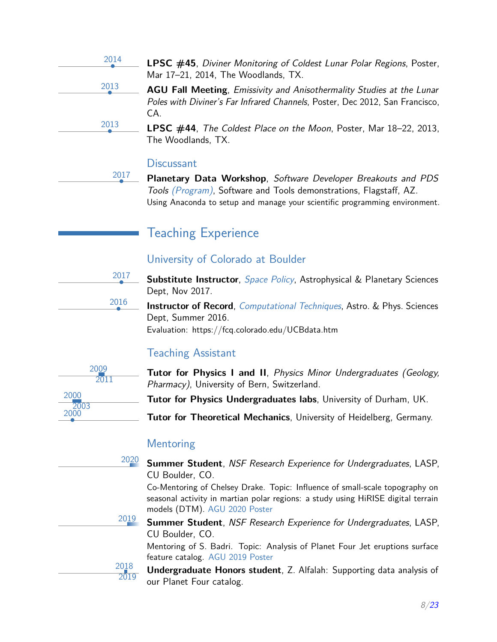| 2014 | <b>LPSC #45</b> , Diviner Monitoring of Coldest Lunar Polar Regions, Poster,<br>Mar 17-21, 2014, The Woodlands, TX.                                                 |
|------|---------------------------------------------------------------------------------------------------------------------------------------------------------------------|
| 2013 | <b>AGU Fall Meeting, Emissivity and Anisothermality Studies at the Lunar</b><br>Poles with Diviner's Far Infrared Channels, Poster, Dec 2012, San Francisco,<br>CA. |
| 2013 | <b>LPSC</b> $\#44$ , The Coldest Place on the Moon, Poster, Mar 18-22, 2013,<br>The Woodlands, TX.                                                                  |

#### **Discussant**

2017

2017

2016

2018 2019

• **Planetary Data Workshop**, Software Developer Breakouts and PDS Tools [\(Program\)](https://www.hou.usra.edu/meetings/planetdata2017/planetdata2017_program.pdf), Software and Tools demonstrations, Flagstaff, AZ. Using Anaconda to setup and manage your scientific programming environment.

### Teaching Experience

#### University of Colorado at Boulder

• **Substitute Instructor**, [Space Policy](http://lasp.colorado.edu/~espoclass/4800_Fall_2017_Syl.htm), Astrophysical & Planetary Sciences Dept, Nov 2017.

**Instructor of Record**, *[Computational Techniques](https://github.com/CUBoulder-ASTR2600)*, Astro. & Phys. Sciences Dept, Summer 2016. Evaluation: https://fcq.colorado.edu/UCBdata.htm

#### Teaching Assistant



**Tutor for Physics I and II**, Physics Minor Undergraduates (Geology, Pharmacy), University of Bern, Switzerland.

**Tutor for Physics Undergraduates labs**, University of Durham, UK.

• **Tutor for Theoretical Mechanics**, University of Heidelberg, Germany.

#### Mentoring

<sup>2020</sup> **Summer Student**, NSF Research Experience for Undergraduates, LASP, CU Boulder, CO.

Co-Mentoring of Chelsey Drake. Topic: Influence of small-scale topography on seasonal activity in martian polar regions: a study using HiRISE digital terrain models (DTM). [AGU 2020 Poster](https://agu.confex.com/agu/fm20/webprogram/Paper742043.html)

<sup>2019</sup> **Summer Student**, NSF Research Experience for Undergraduates, LASP, CU Boulder, CO.

Mentoring of S. Badri. Topic: Analysis of Planet Four Jet eruptions surface feature catalog. [AGU 2019 Poster](https://planetfourzoo.files.wordpress.com/2019/09/final-poster.pdf)

**Undergraduate Honors student**, Z. Alfalah: Supporting data analysis of our Planet Four catalog.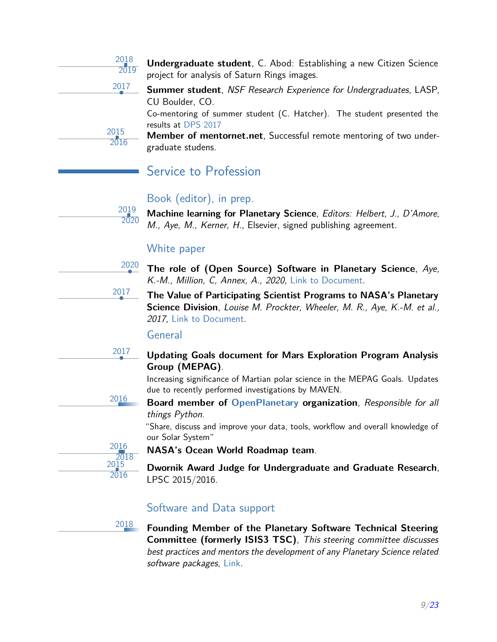| 2018<br>$\frac{1}{2019}$ |
|--------------------------|
| 2017                     |
|                          |
|                          |

2015 2016

> 2019 2020

2017

2017

**Undergraduate student**, C. Abod: Establishing a new Citizen Science project for analysis of Saturn Rings images.

• **Summer student**, NSF Research Experience for Undergraduates, LASP, CU Boulder, CO.

Co-mentoring of summer student (C. Hatcher). The student presented the results at [DPS 2017](http://adsabs.harvard.edu/abs/2017DPS....4942205S)

**Member of mentornet.net**, Successful remote mentoring of two undergraduate studens.

# Service to Profession

### Book (editor), in prep.

**Machine learning for Planetary Science**, Editors: Helbert, J., D'Amore, M., Aye, M., Kerner, H., Elsevier, signed publishing agreement.

### White paper

2020 • **The role of (Open Source) Software in Planetary Science**, Aye, K.-M., Million, C, Annex, A., 2020, [Link to Document.](https://docs.google.com/document/d/1tPWeF3LfHDLoNlSgrf7OGE3S85eKdRWQWn5HEk6RCmU/edit?usp=sharing)

• **The Value of Participating Scientist Programs to NASA's Planetary Science Division**, Louise M. Prockter, Wheeler, M. R., Aye, K.-M. et al., 2017, [Link to Document.](http://www.lpi.usra.edu/analysis/reports/Value_of_Participating_Scientist_Programs_to_NASA_white_paper_final.pdf)

#### General

• **Updating Goals document for Mars Exploration Program Analysis Group (MEPAG)**.

Increasing significance of Martian polar science in the MEPAG Goals. Updates due to recently performed investigations by MAVEN.

<sup>2016</sup> **Board member of [OpenPlanetary](https://www.openplanetary.org/) organization**, Responsible for all things Python.

> "Share, discuss and improve your data, tools, workflow and overall knowledge of our Solar System"

2016 2018  $20\bar{1}5$ 2016

**NASA's Ocean World Roadmap team**.

**Dwornik Award Judge for Undergraduate and Graduate Research**, LPSC 2015/2016.

# Software and Data support

<sup>2018</sup> **Founding Member of the Planetary Software Technical Steering Committee (formerly ISIS3 TSC)**, This steering committee discusses best practices and mentors the development of any Planetary Science related software packages, [Link.](https://github.com/planetarysoftware/tsc)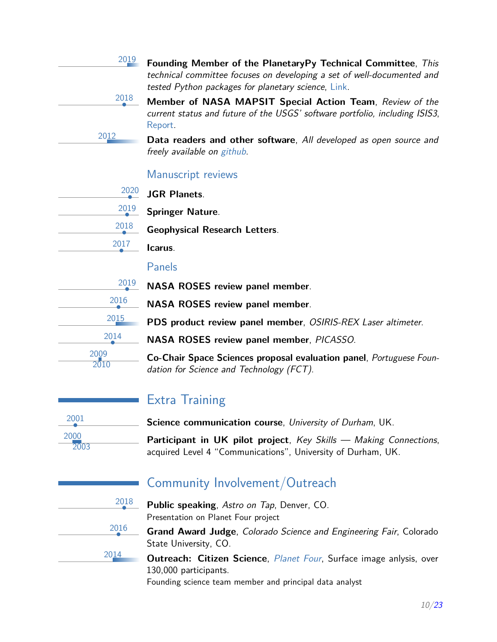| 2019 | Founding Member of the PlanetaryPy Technical Committee, This<br>technical committee focuses on developing a set of well-documented and<br>tested Python packages for planetary science, Link. |
|------|-----------------------------------------------------------------------------------------------------------------------------------------------------------------------------------------------|
| 2018 | Member of NASA MAPSIT Special Action Team, Review of the<br>current status and future of the USGS' software portfolio, including ISIS3,<br>Report.                                            |
| 2012 | Data readers and other software, All developed as open source and<br>freely available on github.                                                                                              |

#### Manuscript reviews

| 2020 |
|------|
| 2019 |
| 2018 |
| 2017 |

• **JGR Planets**.

• **Springer Nature**.

• **Geophysical Research Letters**.

• **Icarus**.

#### Panels

| 2019         | NASA ROSES review panel member.                                                                                 |
|--------------|-----------------------------------------------------------------------------------------------------------------|
| 2016         | NASA ROSES review panel member.                                                                                 |
| 2015         | PDS product review panel member, OSIRIS-REX Laser altimeter.                                                    |
| 2014         | NASA ROSES review panel member, PICASSO.                                                                        |
| 2009<br>2010 | Co-Chair Space Sciences proposal evaluation panel, Portuguese Foun-<br>dation for Science and Technology (FCT). |

# Extra Training

• **Science communication course**, University of Durham, UK.

Participant in UK pilot project, Key Skills - Making Connections, acquired Level 4 "Communications", University of Durham, UK.

| 2018 |
|------|
| 2016 |
| 2014 |

2001

2000 2003

# Community Involvement/Outreach

- **Public speaking**, Astro on Tap, Denver, CO. Presentation on Planet Four project
- **Grand Award Judge**, Colorado Science and Engineering Fair, Colorado State University, CO.

**Outreach: Citizen Science**, *[Planet Four](https://planetfour.org)*, Surface image anlysis, over 130,000 participants.

Founding science team member and principal data analyst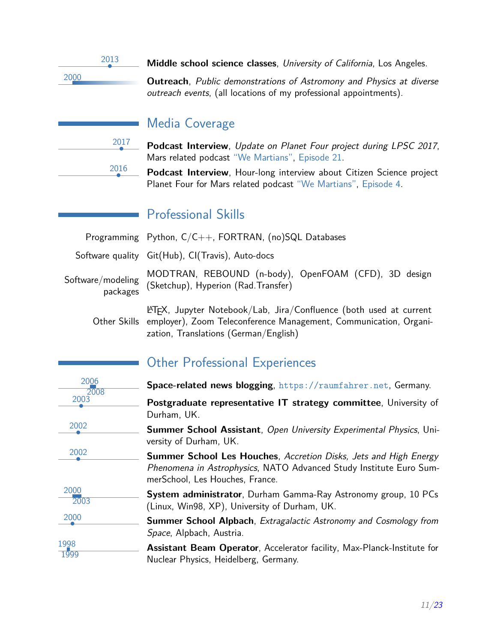2013

• **Middle school science classes**, University of California, Los Angeles.

<sup>2000</sup> **Outreach**, Public demonstrations of Astromony and Physics at diverse outreach events, (all locations of my professional appointments).

| 2017 |
|------|
|      |
| 2016 |

# Media Coverage

• **Podcast Interview**, Update on Planet Four project during LPSC 2017, Mars related podcast ["We Martians",](http://www.wemartians.com) [Episode 21.](http://www.wemartians.com/episode021/)

• **Podcast Interview**, Hour-long interview about Citizen Science project Planet Four for Mars related podcast ["We Martians",](http://www.wemartians.com) [Episode 4.](http://www.wemartians.com/episode004/)

# Professional Skills

|                               | Programming Python, C/C++, FORTRAN, (no)SQL Databases                                        |
|-------------------------------|----------------------------------------------------------------------------------------------|
|                               | Software quality Git(Hub), CI(Travis), Auto-docs                                             |
| Software/modeling<br>packages | MODTRAN, REBOUND (n-body), OpenFOAM (CFD), 3D design<br>(Sketchup), Hyperion (Rad. Transfer) |
|                               | $\text{PTFX}$ , Jupyter Notebook/Lab, Jira/Confluence (both used at current                  |

Other Skills employer), Zoom Teleconference Management, Communication, Organization, Translations (German/English)

# Other Professional Experiences

| 2006<br>2008 | Space-related news blogging, https://raumfahrer.net, Germany.                                                                                                                    |
|--------------|----------------------------------------------------------------------------------------------------------------------------------------------------------------------------------|
| 2003         | Postgraduate representative IT strategy committee, University of<br>Durham, UK.                                                                                                  |
| 2002         | Summer School Assistant, Open University Experimental Physics, Uni-<br>versity of Durham, UK.                                                                                    |
| 2002         | <b>Summer School Les Houches, Accretion Disks, Jets and High Energy</b><br>Phenomena in Astrophysics, NATO Advanced Study Institute Euro Sum-<br>merSchool, Les Houches, France. |
| 2000<br>2003 | System administrator, Durham Gamma-Ray Astronomy group, 10 PCs<br>(Linux, Win98, XP), University of Durham, UK.                                                                  |
| 2000         | <b>Summer School Alpbach</b> , Extragalactic Astronomy and Cosmology from<br>Space, Alpbach, Austria.                                                                            |
| 1998<br>1999 | <b>Assistant Beam Operator, Accelerator facility, Max-Planck-Institute for</b><br>Nuclear Physics, Heidelberg, Germany.                                                          |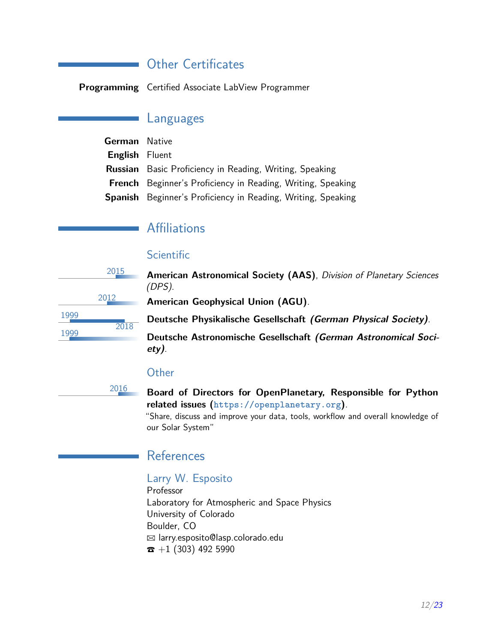### **Other Certificates**

**Programming** Certified Associate LabView Programmer

### Languages

| <b>German</b> Native  |                                                                     |
|-----------------------|---------------------------------------------------------------------|
| <b>English</b> Fluent |                                                                     |
|                       | <b>Russian</b> Basic Proficiency in Reading, Writing, Speaking      |
|                       | <b>French</b> Beginner's Proficiency in Reading, Writing, Speaking  |
|                       | <b>Spanish</b> Beginner's Proficiency in Reading, Writing, Speaking |

# **Affiliations**

### **Scientific**

|      | 2015 | American Astronomical Society (AAS), Division of Planetary Sciences<br>(DPS). |
|------|------|-------------------------------------------------------------------------------|
|      | 2012 | <b>American Geophysical Union (AGU).</b>                                      |
| 1999 |      | Deutsche Physikalische Gesellschaft (German Physical Society).                |
| 1999 | 2018 | Deutsche Astronomische Gesellschaft (German Astronomical Soci-<br>$ety)$ .    |

#### **Other**

<sup>2016</sup> **Board of Directors for OpenPlanetary, Responsible for Python related issues (<https://openplanetary.org>)**.

> "Share, discuss and improve your data, tools, workflow and overall knowledge of our Solar System"

### **References**

#### Larry W. Esposito

Professor Laboratory for Atmospheric and Space Physics University of Colorado Boulder, CO B larry.esposito@lasp.colorado.edu  $\bar{x}$  +1 (303) 492 5990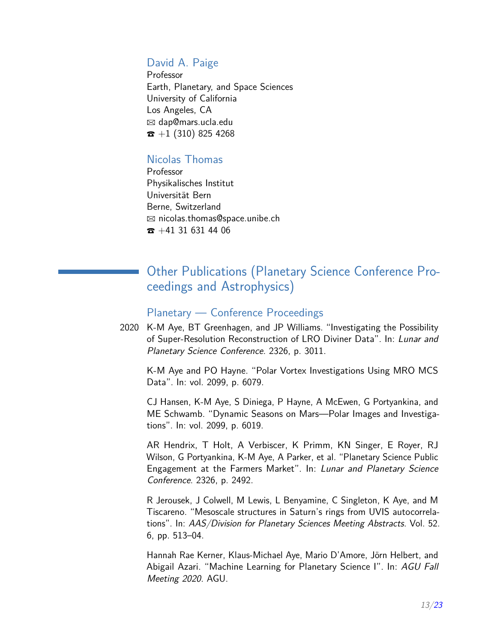#### David A. Paige

Professor Earth, Planetary, and Space Sciences University of California Los Angeles, CA  $\boxtimes$  dap@mars.ucla.edu  $\bar{x}$  +1 (310) 825 4268

### Nicolas Thomas

Professor Physikalisches Institut Universität Bern Berne, Switzerland  $\boxtimes$  nicolas.thomas@space.unibe.ch  $\bar{z}$  +41 31 631 44 06

# Other Publications (Planetary Science Conference Proceedings and Astrophysics)

#### Planetary — Conference Proceedings

2020 K-M Aye, BT Greenhagen, and JP Williams. "Investigating the Possibility of Super-Resolution Reconstruction of LRO Diviner Data". In: Lunar and Planetary Science Conference. 2326, p. 3011.

K-M Aye and PO Hayne. "Polar Vortex Investigations Using MRO MCS Data". In: vol. 2099, p. 6079.

CJ Hansen, K-M Aye, S Diniega, P Hayne, A McEwen, G Portyankina, and ME Schwamb. "Dynamic Seasons on Mars—Polar Images and Investigations". In: vol. 2099, p. 6019.

AR Hendrix, T Holt, A Verbiscer, K Primm, KN Singer, E Royer, RJ Wilson, G Portyankina, K-M Aye, A Parker, et al. "Planetary Science Public Engagement at the Farmers Market". In: Lunar and Planetary Science Conference. 2326, p. 2492.

R Jerousek, J Colwell, M Lewis, L Benyamine, C Singleton, K Aye, and M Tiscareno. "Mesoscale structures in Saturn's rings from UVIS autocorrelations". In: AAS/Division for Planetary Sciences Meeting Abstracts. Vol. 52. 6, pp. 513–04.

Hannah Rae Kerner, Klaus-Michael Aye, Mario D'Amore, Jörn Helbert, and Abigail Azari. "Machine Learning for Planetary Science I". In: AGU Fall Meeting 2020. AGU.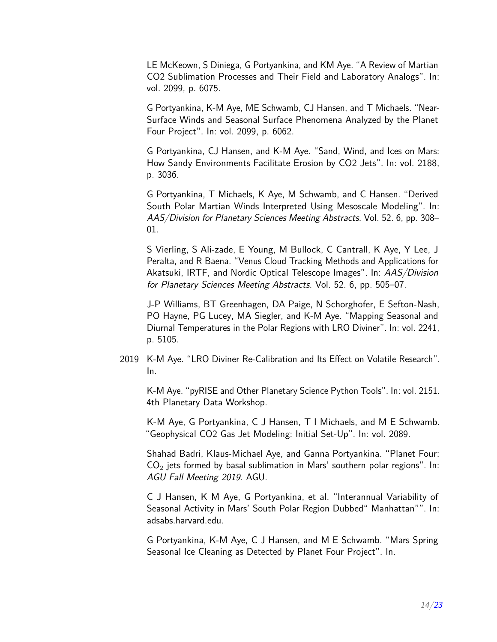LE McKeown, S Diniega, G Portyankina, and KM Aye. "A Review of Martian CO2 Sublimation Processes and Their Field and Laboratory Analogs". In: vol. 2099, p. 6075.

G Portyankina, K-M Aye, ME Schwamb, CJ Hansen, and T Michaels. "Near-Surface Winds and Seasonal Surface Phenomena Analyzed by the Planet Four Project". In: vol. 2099, p. 6062.

G Portyankina, CJ Hansen, and K-M Aye. "Sand, Wind, and Ices on Mars: How Sandy Environments Facilitate Erosion by CO2 Jets". In: vol. 2188, p. 3036.

G Portyankina, T Michaels, K Aye, M Schwamb, and C Hansen. "Derived South Polar Martian Winds Interpreted Using Mesoscale Modeling". In: AAS/Division for Planetary Sciences Meeting Abstracts. Vol. 52. 6, pp. 308– 01.

S Vierling, S Ali-zade, E Young, M Bullock, C Cantrall, K Aye, Y Lee, J Peralta, and R Baena. "Venus Cloud Tracking Methods and Applications for Akatsuki, IRTF, and Nordic Optical Telescope Images". In: AAS/Division for Planetary Sciences Meeting Abstracts. Vol. 52. 6, pp. 505–07.

J-P Williams, BT Greenhagen, DA Paige, N Schorghofer, E Sefton-Nash, PO Hayne, PG Lucey, MA Siegler, and K-M Aye. "Mapping Seasonal and Diurnal Temperatures in the Polar Regions with LRO Diviner". In: vol. 2241, p. 5105.

2019 K-M Aye. "LRO Diviner Re-Calibration and Its Effect on Volatile Research". In.

K-M Aye. "pyRISE and Other Planetary Science Python Tools". In: vol. 2151. 4th Planetary Data Workshop.

K-M Aye, G Portyankina, C J Hansen, T I Michaels, and M E Schwamb. "Geophysical CO2 Gas Jet Modeling: Initial Set-Up". In: vol. 2089.

Shahad Badri, Klaus-Michael Aye, and Ganna Portyankina. "Planet Four:  $CO<sub>2</sub>$  jets formed by basal sublimation in Mars' southern polar regions". In: AGU Fall Meeting 2019. AGU.

C J Hansen, K M Aye, G Portyankina, et al. "Interannual Variability of Seasonal Activity in Mars' South Polar Region Dubbed" Manhattan"". In: adsabs.harvard.edu.

G Portyankina, K-M Aye, C J Hansen, and M E Schwamb. "Mars Spring Seasonal Ice Cleaning as Detected by Planet Four Project". In.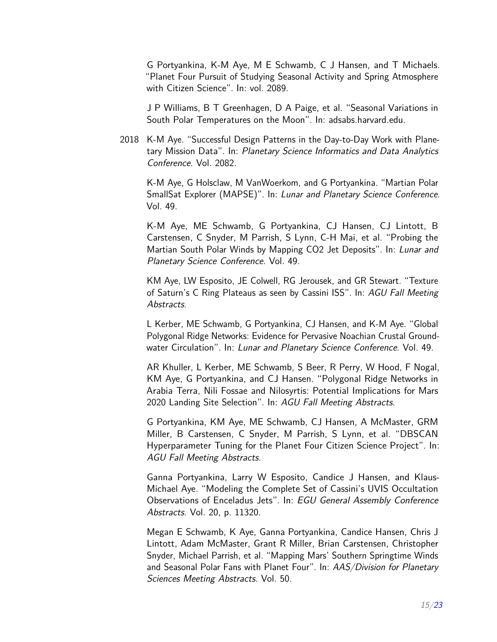G Portyankina, K-M Aye, M E Schwamb, C J Hansen, and T Michaels. "Planet Four Pursuit of Studying Seasonal Activity and Spring Atmosphere with Citizen Science". In: vol. 2089.

J P Williams, B T Greenhagen, D A Paige, et al. "Seasonal Variations in South Polar Temperatures on the Moon". In: adsabs.harvard.edu.

2018 K-M Aye. "Successful Design Patterns in the Day-to-Day Work with Planetary Mission Data". In: Planetary Science Informatics and Data Analytics Conference. Vol. 2082.

K-M Aye, G Holsclaw, M VanWoerkom, and G Portyankina. "Martian Polar SmallSat Explorer (MAPSE)". In: Lunar and Planetary Science Conference. Vol. 49.

K-M Aye, ME Schwamb, G Portyankina, CJ Hansen, CJ Lintott, B Carstensen, C Snyder, M Parrish, S Lynn, C-H Mai, et al. "Probing the Martian South Polar Winds by Mapping CO2 Jet Deposits". In: Lunar and Planetary Science Conference. Vol. 49.

KM Aye, LW Esposito, JE Colwell, RG Jerousek, and GR Stewart. "Texture of Saturn's C Ring Plateaus as seen by Cassini ISS". In: AGU Fall Meeting Abstracts.

L Kerber, ME Schwamb, G Portyankina, CJ Hansen, and K-M Aye. "Global Polygonal Ridge Networks: Evidence for Pervasive Noachian Crustal Groundwater Circulation". In: Lunar and Planetary Science Conference. Vol. 49.

AR Khuller, L Kerber, ME Schwamb, S Beer, R Perry, W Hood, F Nogal, KM Aye, G Portyankina, and CJ Hansen. "Polygonal Ridge Networks in Arabia Terra, Nili Fossae and Nilosyrtis: Potential Implications for Mars 2020 Landing Site Selection". In: AGU Fall Meeting Abstracts.

G Portyankina, KM Aye, ME Schwamb, CJ Hansen, A McMaster, GRM Miller, B Carstensen, C Snyder, M Parrish, S Lynn, et al. "DBSCAN Hyperparameter Tuning for the Planet Four Citizen Science Project". In: AGU Fall Meeting Abstracts.

Ganna Portyankina, Larry W Esposito, Candice J Hansen, and Klaus-Michael Aye. "Modeling the Complete Set of Cassini's UVIS Occultation Observations of Enceladus Jets". In: EGU General Assembly Conference Abstracts. Vol. 20, p. 11320.

Megan E Schwamb, K Aye, Ganna Portyankina, Candice Hansen, Chris J Lintott, Adam McMaster, Grant R Miller, Brian Carstensen, Christopher Snyder, Michael Parrish, et al. "Mapping Mars' Southern Springtime Winds and Seasonal Polar Fans with Planet Four". In: AAS/Division for Planetary Sciences Meeting Abstracts. Vol. 50.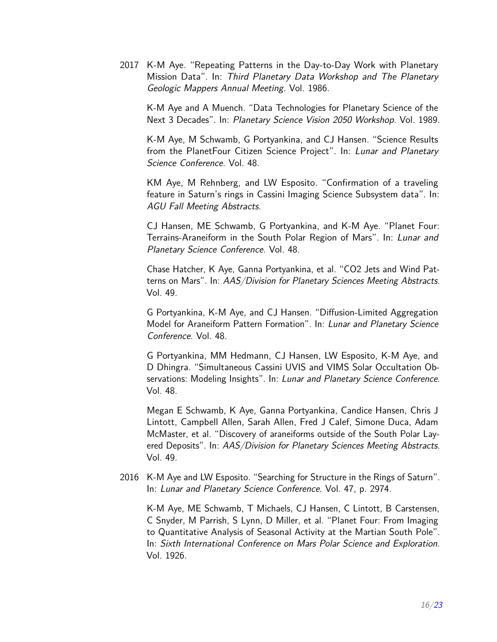2017 K-M Aye. "Repeating Patterns in the Day-to-Day Work with Planetary Mission Data". In: Third Planetary Data Workshop and The Planetary Geologic Mappers Annual Meeting. Vol. 1986.

K-M Aye and A Muench. "Data Technologies for Planetary Science of the Next 3 Decades". In: Planetary Science Vision 2050 Workshop. Vol. 1989.

K-M Aye, M Schwamb, G Portyankina, and CJ Hansen. "Science Results from the PlanetFour Citizen Science Project". In: Lunar and Planetary Science Conference. Vol. 48.

KM Aye, M Rehnberg, and LW Esposito. "Confirmation of a traveling feature in Saturn's rings in Cassini Imaging Science Subsystem data". In: AGU Fall Meeting Abstracts.

CJ Hansen, ME Schwamb, G Portyankina, and K-M Aye. "Planet Four: Terrains-Araneiform in the South Polar Region of Mars". In: Lunar and Planetary Science Conference. Vol. 48.

Chase Hatcher, K Aye, Ganna Portyankina, et al. "CO2 Jets and Wind Patterns on Mars". In: AAS/Division for Planetary Sciences Meeting Abstracts. Vol. 49.

G Portyankina, K-M Aye, and CJ Hansen. "Diffusion-Limited Aggregation Model for Araneiform Pattern Formation". In: Lunar and Planetary Science Conference. Vol. 48.

G Portyankina, MM Hedmann, CJ Hansen, LW Esposito, K-M Aye, and D Dhingra. "Simultaneous Cassini UVIS and VIMS Solar Occultation Observations: Modeling Insights". In: Lunar and Planetary Science Conference. Vol. 48.

Megan E Schwamb, K Aye, Ganna Portyankina, Candice Hansen, Chris J Lintott, Campbell Allen, Sarah Allen, Fred J Calef, Simone Duca, Adam McMaster, et al. "Discovery of araneiforms outside of the South Polar Layered Deposits". In: AAS/Division for Planetary Sciences Meeting Abstracts. Vol. 49.

2016 K-M Aye and LW Esposito. "Searching for Structure in the Rings of Saturn". In: Lunar and Planetary Science Conference. Vol. 47, p. 2974.

K-M Aye, ME Schwamb, T Michaels, CJ Hansen, C Lintott, B Carstensen, C Snyder, M Parrish, S Lynn, D Miller, et al. "Planet Four: From Imaging to Quantitative Analysis of Seasonal Activity at the Martian South Pole". In: Sixth International Conference on Mars Polar Science and Exploration. Vol. 1926.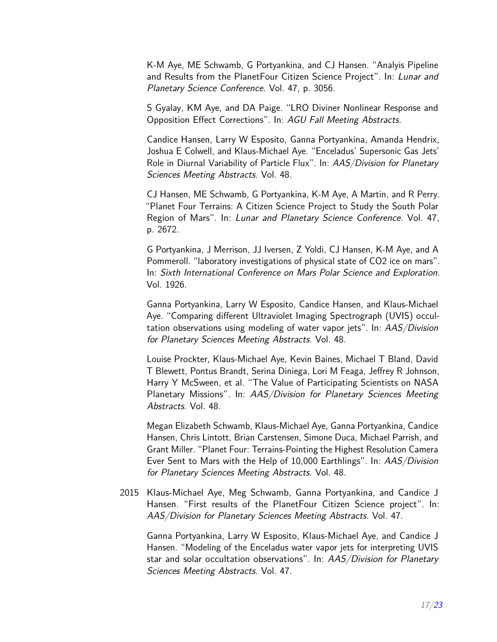K-M Aye, ME Schwamb, G Portyankina, and CJ Hansen. "Analyis Pipeline and Results from the PlanetFour Citizen Science Project". In: Lunar and Planetary Science Conference. Vol. 47, p. 3056.

S Gyalay, KM Aye, and DA Paige. "LRO Diviner Nonlinear Response and Opposition Effect Corrections". In: AGU Fall Meeting Abstracts.

Candice Hansen, Larry W Esposito, Ganna Portyankina, Amanda Hendrix, Joshua E Colwell, and Klaus-Michael Aye. "Enceladus' Supersonic Gas Jets' Role in Diurnal Variability of Particle Flux". In: AAS/Division for Planetary Sciences Meeting Abstracts. Vol. 48.

CJ Hansen, ME Schwamb, G Portyankina, K-M Aye, A Martin, and R Perry. "Planet Four Terrains: A Citizen Science Project to Study the South Polar Region of Mars". In: Lunar and Planetary Science Conference. Vol. 47, p. 2672.

G Portyankina, J Merrison, JJ Iversen, Z Yoldi, CJ Hansen, K-M Aye, and A Pommeroll. "laboratory investigations of physical state of CO2 ice on mars". In: Sixth International Conference on Mars Polar Science and Exploration. Vol. 1926.

Ganna Portyankina, Larry W Esposito, Candice Hansen, and Klaus-Michael Aye. "Comparing different Ultraviolet Imaging Spectrograph (UVIS) occultation observations using modeling of water vapor jets". In: AAS/Division for Planetary Sciences Meeting Abstracts. Vol. 48.

Louise Prockter, Klaus-Michael Aye, Kevin Baines, Michael T Bland, David T Blewett, Pontus Brandt, Serina Diniega, Lori M Feaga, Jeffrey R Johnson, Harry Y McSween, et al. "The Value of Participating Scientists on NASA Planetary Missions". In: AAS/Division for Planetary Sciences Meeting Abstracts. Vol. 48.

Megan Elizabeth Schwamb, Klaus-Michael Aye, Ganna Portyankina, Candice Hansen, Chris Lintott, Brian Carstensen, Simone Duca, Michael Parrish, and Grant Miller. "Planet Four: Terrains-Pointing the Highest Resolution Camera Ever Sent to Mars with the Help of 10,000 Earthlings". In: AAS/Division for Planetary Sciences Meeting Abstracts. Vol. 48.

2015 Klaus-Michael Aye, Meg Schwamb, Ganna Portyankina, and Candice J Hansen. "First results of the PlanetFour Citizen Science project". In: AAS/Division for Planetary Sciences Meeting Abstracts. Vol. 47.

Ganna Portyankina, Larry W Esposito, Klaus-Michael Aye, and Candice J Hansen. "Modeling of the Enceladus water vapor jets for interpreting UVIS star and solar occultation observations". In: AAS/Division for Planetary Sciences Meeting Abstracts. Vol. 47.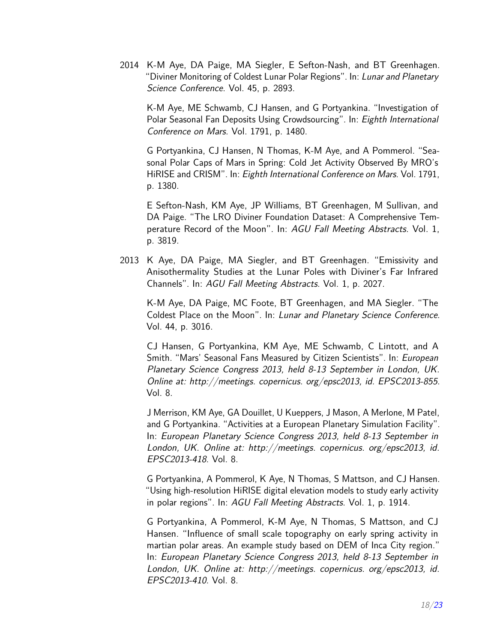2014 K-M Aye, DA Paige, MA Siegler, E Sefton-Nash, and BT Greenhagen. "Diviner Monitoring of Coldest Lunar Polar Regions". In: Lunar and Planetary Science Conference. Vol. 45, p. 2893.

K-M Aye, ME Schwamb, CJ Hansen, and G Portyankina. "Investigation of Polar Seasonal Fan Deposits Using Crowdsourcing". In: Eighth International Conference on Mars. Vol. 1791, p. 1480.

G Portyankina, CJ Hansen, N Thomas, K-M Aye, and A Pommerol. "Seasonal Polar Caps of Mars in Spring: Cold Jet Activity Observed By MRO's HiRISE and CRISM". In: Eighth International Conference on Mars. Vol. 1791, p. 1380.

E Sefton-Nash, KM Aye, JP Williams, BT Greenhagen, M Sullivan, and DA Paige. "The LRO Diviner Foundation Dataset: A Comprehensive Temperature Record of the Moon". In: AGU Fall Meeting Abstracts. Vol. 1, p. 3819.

2013 K Aye, DA Paige, MA Siegler, and BT Greenhagen. "Emissivity and Anisothermality Studies at the Lunar Poles with Diviner's Far Infrared Channels". In: AGU Fall Meeting Abstracts. Vol. 1, p. 2027.

K-M Aye, DA Paige, MC Foote, BT Greenhagen, and MA Siegler. "The Coldest Place on the Moon". In: Lunar and Planetary Science Conference. Vol. 44, p. 3016.

CJ Hansen, G Portyankina, KM Aye, ME Schwamb, C Lintott, and A Smith. "Mars' Seasonal Fans Measured by Citizen Scientists". In: European Planetary Science Congress 2013, held 8-13 September in London, UK. Online at: http://meetings. copernicus. org/epsc2013, id. EPSC2013-855. Vol. 8.

J Merrison, KM Aye, GA Douillet, U Kueppers, J Mason, A Merlone, M Patel, and G Portyankina. "Activities at a European Planetary Simulation Facility". In: European Planetary Science Congress 2013, held 8-13 September in London, UK. Online at: http://meetings. copernicus. org/epsc2013, id. EPSC2013-418. Vol. 8.

G Portyankina, A Pommerol, K Aye, N Thomas, S Mattson, and CJ Hansen. "Using high-resolution HiRISE digital elevation models to study early activity in polar regions". In: AGU Fall Meeting Abstracts. Vol. 1, p. 1914.

G Portyankina, A Pommerol, K-M Aye, N Thomas, S Mattson, and CJ Hansen. "Influence of small scale topography on early spring activity in martian polar areas. An example study based on DEM of Inca City region." In: European Planetary Science Congress 2013, held 8-13 September in London, UK. Online at: http://meetings. copernicus. org/epsc2013, id. EPSC2013-410. Vol. 8.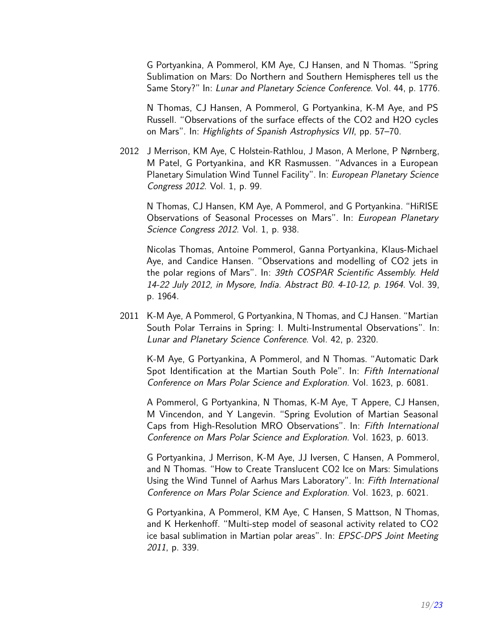G Portyankina, A Pommerol, KM Aye, CJ Hansen, and N Thomas. "Spring Sublimation on Mars: Do Northern and Southern Hemispheres tell us the Same Story?" In: Lunar and Planetary Science Conference. Vol. 44, p. 1776.

N Thomas, CJ Hansen, A Pommerol, G Portyankina, K-M Aye, and PS Russell. "Observations of the surface effects of the CO2 and H2O cycles on Mars". In: Highlights of Spanish Astrophysics VII, pp. 57–70.

2012 J Merrison, KM Aye, C Holstein-Rathlou, J Mason, A Merlone, P Nørnberg, M Patel, G Portyankina, and KR Rasmussen. "Advances in a European Planetary Simulation Wind Tunnel Facility". In: European Planetary Science Congress 2012. Vol. 1, p. 99.

N Thomas, CJ Hansen, KM Aye, A Pommerol, and G Portyankina. "HiRISE Observations of Seasonal Processes on Mars". In: European Planetary Science Congress 2012. Vol. 1, p. 938.

Nicolas Thomas, Antoine Pommerol, Ganna Portyankina, Klaus-Michael Aye, and Candice Hansen. "Observations and modelling of CO2 jets in the polar regions of Mars". In: 39th COSPAR Scientific Assembly. Held 14-22 July 2012, in Mysore, India. Abstract B0. 4-10-12, p. 1964. Vol. 39, p. 1964.

2011 K-M Aye, A Pommerol, G Portyankina, N Thomas, and CJ Hansen. "Martian South Polar Terrains in Spring: I. Multi-Instrumental Observations". In: Lunar and Planetary Science Conference. Vol. 42, p. 2320.

K-M Aye, G Portyankina, A Pommerol, and N Thomas. "Automatic Dark Spot Identification at the Martian South Pole". In: Fifth International Conference on Mars Polar Science and Exploration. Vol. 1623, p. 6081.

A Pommerol, G Portyankina, N Thomas, K-M Aye, T Appere, CJ Hansen, M Vincendon, and Y Langevin. "Spring Evolution of Martian Seasonal Caps from High-Resolution MRO Observations". In: Fifth International Conference on Mars Polar Science and Exploration. Vol. 1623, p. 6013.

G Portyankina, J Merrison, K-M Aye, JJ Iversen, C Hansen, A Pommerol, and N Thomas. "How to Create Translucent CO2 Ice on Mars: Simulations Using the Wind Tunnel of Aarhus Mars Laboratory". In: Fifth International Conference on Mars Polar Science and Exploration. Vol. 1623, p. 6021.

G Portyankina, A Pommerol, KM Aye, C Hansen, S Mattson, N Thomas, and K Herkenhoff. "Multi-step model of seasonal activity related to CO2 ice basal sublimation in Martian polar areas". In: EPSC-DPS Joint Meeting 2011, p. 339.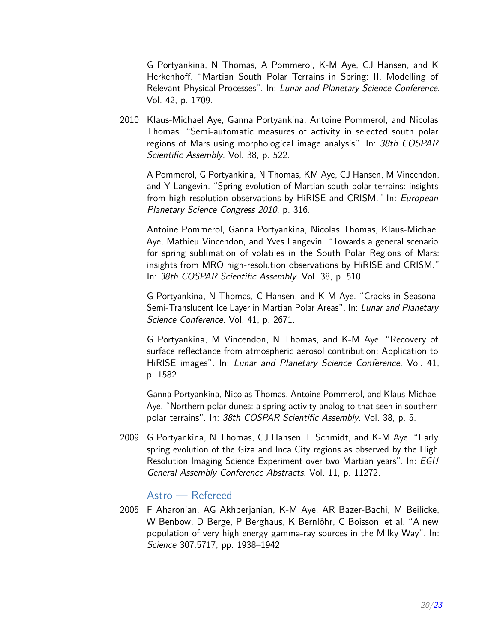G Portyankina, N Thomas, A Pommerol, K-M Aye, CJ Hansen, and K Herkenhoff. "Martian South Polar Terrains in Spring: II. Modelling of Relevant Physical Processes". In: Lunar and Planetary Science Conference. Vol. 42, p. 1709.

2010 Klaus-Michael Aye, Ganna Portyankina, Antoine Pommerol, and Nicolas Thomas. "Semi-automatic measures of activity in selected south polar regions of Mars using morphological image analysis". In: 38th COSPAR Scientific Assembly. Vol. 38, p. 522.

A Pommerol, G Portyankina, N Thomas, KM Aye, CJ Hansen, M Vincendon, and Y Langevin. "Spring evolution of Martian south polar terrains: insights from high-resolution observations by HiRISE and CRISM." In: European Planetary Science Congress 2010, p. 316.

Antoine Pommerol, Ganna Portyankina, Nicolas Thomas, Klaus-Michael Aye, Mathieu Vincendon, and Yves Langevin. "Towards a general scenario for spring sublimation of volatiles in the South Polar Regions of Mars: insights from MRO high-resolution observations by HiRISE and CRISM." In: 38th COSPAR Scientific Assembly. Vol. 38, p. 510.

G Portyankina, N Thomas, C Hansen, and K-M Aye. "Cracks in Seasonal Semi-Translucent Ice Layer in Martian Polar Areas". In: Lunar and Planetary Science Conference. Vol. 41, p. 2671.

G Portyankina, M Vincendon, N Thomas, and K-M Aye. "Recovery of surface reflectance from atmospheric aerosol contribution: Application to HiRISE images". In: Lunar and Planetary Science Conference. Vol. 41, p. 1582.

Ganna Portyankina, Nicolas Thomas, Antoine Pommerol, and Klaus-Michael Aye. "Northern polar dunes: a spring activity analog to that seen in southern polar terrains". In: 38th COSPAR Scientific Assembly. Vol. 38, p. 5.

2009 G Portyankina, N Thomas, CJ Hansen, F Schmidt, and K-M Aye. "Early spring evolution of the Giza and Inca City regions as observed by the High Resolution Imaging Science Experiment over two Martian years". In: EGU General Assembly Conference Abstracts. Vol. 11, p. 11272.

#### Astro — Refereed

2005 F Aharonian, AG Akhperjanian, K-M Aye, AR Bazer-Bachi, M Beilicke, W Benbow, D Berge, P Berghaus, K Bernlöhr, C Boisson, et al. "A new population of very high energy gamma-ray sources in the Milky Way". In: Science 307.5717, pp. 1938–1942.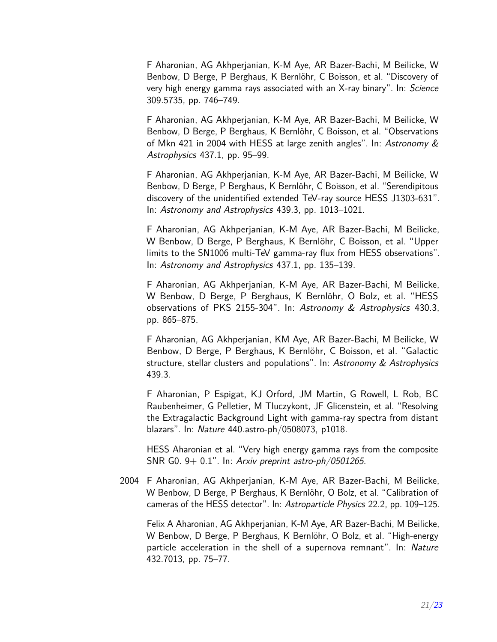F Aharonian, AG Akhperjanian, K-M Aye, AR Bazer-Bachi, M Beilicke, W Benbow, D Berge, P Berghaus, K Bernlöhr, C Boisson, et al. "Discovery of very high energy gamma rays associated with an X-ray binary". In: Science 309.5735, pp. 746–749.

F Aharonian, AG Akhperjanian, K-M Aye, AR Bazer-Bachi, M Beilicke, W Benbow, D Berge, P Berghaus, K Bernlöhr, C Boisson, et al. "Observations of Mkn 421 in 2004 with HESS at large zenith angles". In: Astronomy & Astrophysics 437.1, pp. 95–99.

F Aharonian, AG Akhperjanian, K-M Aye, AR Bazer-Bachi, M Beilicke, W Benbow, D Berge, P Berghaus, K Bernlöhr, C Boisson, et al. "Serendipitous discovery of the unidentified extended TeV-ray source HESS J1303-631". In: Astronomy and Astrophysics 439.3, pp. 1013–1021.

F Aharonian, AG Akhperjanian, K-M Aye, AR Bazer-Bachi, M Beilicke, W Benbow, D Berge, P Berghaus, K Bernlöhr, C Boisson, et al. "Upper limits to the SN1006 multi-TeV gamma-ray flux from HESS observations". In: Astronomy and Astrophysics 437.1, pp. 135–139.

F Aharonian, AG Akhperjanian, K-M Aye, AR Bazer-Bachi, M Beilicke, W Benbow, D Berge, P Berghaus, K Bernlöhr, O Bolz, et al. "HESS observations of PKS 2155-304". In: Astronomy & Astrophysics 430.3, pp. 865–875.

F Aharonian, AG Akhperjanian, KM Aye, AR Bazer-Bachi, M Beilicke, W Benbow, D Berge, P Berghaus, K Bernlöhr, C Boisson, et al. "Galactic structure, stellar clusters and populations". In: Astronomy & Astrophysics 439.3.

F Aharonian, P Espigat, KJ Orford, JM Martin, G Rowell, L Rob, BC Raubenheimer, G Pelletier, M Tluczykont, JF Glicenstein, et al. "Resolving the Extragalactic Background Light with gamma-ray spectra from distant blazars". In: Nature 440.astro-ph/0508073, p1018.

HESS Aharonian et al. "Very high energy gamma rays from the composite SNR G0. 9+ 0.1". In: Arxiv preprint astro-ph/0501265.

2004 F Aharonian, AG Akhperjanian, K-M Aye, AR Bazer-Bachi, M Beilicke, W Benbow, D Berge, P Berghaus, K Bernlöhr, O Bolz, et al. "Calibration of cameras of the HESS detector". In: Astroparticle Physics 22.2, pp. 109–125.

Felix A Aharonian, AG Akhperjanian, K-M Aye, AR Bazer-Bachi, M Beilicke, W Benbow, D Berge, P Berghaus, K Bernlöhr, O Bolz, et al. "High-energy particle acceleration in the shell of a supernova remnant". In: Nature 432.7013, pp. 75–77.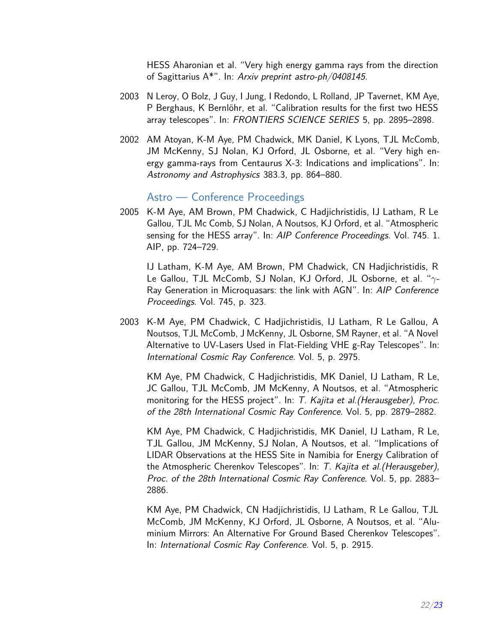HESS Aharonian et al. "Very high energy gamma rays from the direction of Sagittarius A\*". In: Arxiv preprint astro-ph/0408145.

- 2003 N Leroy, O Bolz, J Guy, I Jung, I Redondo, L Rolland, JP Tavernet, KM Aye, P Berghaus, K Bernlöhr, et al. "Calibration results for the first two HESS array telescopes". In: FRONTIERS SCIENCE SERIES 5, pp. 2895–2898.
- 2002 AM Atoyan, K-M Aye, PM Chadwick, MK Daniel, K Lyons, TJL McComb, JM McKenny, SJ Nolan, KJ Orford, JL Osborne, et al. "Very high energy gamma-rays from Centaurus X-3: Indications and implications". In: Astronomy and Astrophysics 383.3, pp. 864–880.

#### Astro — Conference Proceedings

<span id="page-21-0"></span>2005 K-M Aye, AM Brown, PM Chadwick, C Hadjichristidis, IJ Latham, R Le Gallou, TJL Mc Comb, SJ Nolan, A Noutsos, KJ Orford, et al. "Atmospheric sensing for the HESS array". In: AIP Conference Proceedings. Vol. 745. 1. AIP, pp. 724–729.

IJ Latham, K-M Aye, AM Brown, PM Chadwick, CN Hadjichristidis, R Le Gallou, TJL McComb, SJ Nolan, KJ Orford, JL Osborne, et al. "*γ*-Ray Generation in Microquasars: the link with AGN". In: AIP Conference Proceedings. Vol. 745, p. 323.

2003 K-M Aye, PM Chadwick, C Hadjichristidis, IJ Latham, R Le Gallou, A Noutsos, TJL McComb, J McKenny, JL Osborne, SM Rayner, et al. "A Novel Alternative to UV-Lasers Used in Flat-Fielding VHE g-Ray Telescopes". In: International Cosmic Ray Conference. Vol. 5, p. 2975.

KM Aye, PM Chadwick, C Hadjichristidis, MK Daniel, IJ Latham, R Le, JC Gallou, TJL McComb, JM McKenny, A Noutsos, et al. "Atmospheric monitoring for the HESS project". In: T. Kajita et al. (Herausgeber), Proc. of the 28th International Cosmic Ray Conference. Vol. 5, pp. 2879–2882.

KM Aye, PM Chadwick, C Hadjichristidis, MK Daniel, IJ Latham, R Le, TJL Gallou, JM McKenny, SJ Nolan, A Noutsos, et al. "Implications of LIDAR Observations at the HESS Site in Namibia for Energy Calibration of the Atmospheric Cherenkov Telescopes". In: T. Kajita et al.(Herausgeber), Proc. of the 28th International Cosmic Ray Conference. Vol. 5, pp. 2883– 2886.

KM Aye, PM Chadwick, CN Hadjichristidis, IJ Latham, R Le Gallou, TJL McComb, JM McKenny, KJ Orford, JL Osborne, A Noutsos, et al. "Aluminium Mirrors: An Alternative For Ground Based Cherenkov Telescopes". In: International Cosmic Ray Conference. Vol. 5, p. 2915.